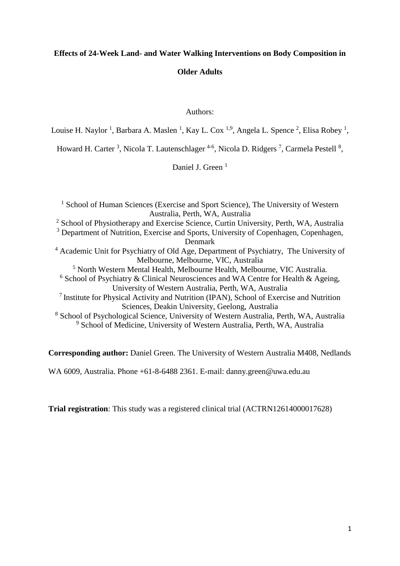# **Effects of 24-Week Land- and Water Walking Interventions on Body Composition in**

# **Older Adults**

## Authors:

Louise H. Naylor <sup>1</sup>, Barbara A. Maslen <sup>1</sup>, Kay L. Cox <sup>1,9</sup>, Angela L. Spence <sup>2</sup>, Elisa Robey <sup>1</sup>,

Howard H. Carter<sup>3</sup>, Nicola T. Lautenschlager<sup>4-6</sup>, Nicola D. Ridgers<sup>7</sup>, Carmela Pestell<sup>8</sup>,

Daniel J. Green<sup>1</sup>

<sup>1</sup> School of Human Sciences (Exercise and Sport Science), The University of Western Australia, Perth, WA, Australia <sup>2</sup> School of Physiotherapy and Exercise Science, Curtin University, Perth, WA, Australia <sup>3</sup> Department of Nutrition, Exercise and Sports, University of Copenhagen, Copenhagen, Denmark <sup>4</sup> Academic Unit for Psychiatry of Old Age, Department of Psychiatry, The University of Melbourne, Melbourne, VIC, Australia <sup>5</sup> North Western Mental Health, Melbourne Health, Melbourne, VIC Australia. <sup>6</sup> School of Psychiatry & Clinical Neurosciences and WA Centre for Health & Ageing, University of Western Australia, Perth, WA, Australia <sup>7</sup> Institute for Physical Activity and Nutrition (IPAN), School of Exercise and Nutrition Sciences, Deakin University, Geelong, Australia <sup>8</sup> School of Psychological Science, University of Western Australia, Perth, WA, Australia <sup>9</sup> School of Medicine, University of Western Australia, Perth, WA, Australia

**Corresponding author:** Daniel Green. The University of Western Australia M408, Nedlands

WA 6009, Australia. Phone +61-8-6488 2361. E-mail: danny.green@uwa.edu.au

**Trial registration**: This study was a registered clinical trial (ACTRN12614000017628)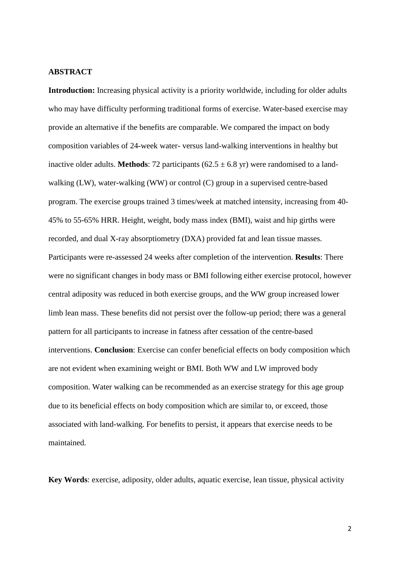## **ABSTRACT**

**Introduction:** Increasing physical activity is a priority worldwide, including for older adults who may have difficulty performing traditional forms of exercise. Water-based exercise may provide an alternative if the benefits are comparable. We compared the impact on body composition variables of 24-week water- versus land-walking interventions in healthy but inactive older adults. **Methods**: 72 participants ( $62.5 \pm 6.8$  yr) were randomised to a landwalking (LW), water-walking (WW) or control (C) group in a supervised centre-based program. The exercise groups trained 3 times/week at matched intensity, increasing from 40- 45% to 55-65% HRR. Height, weight, body mass index (BMI), waist and hip girths were recorded, and dual X-ray absorptiometry (DXA) provided fat and lean tissue masses. Participants were re-assessed 24 weeks after completion of the intervention. **Results**: There were no significant changes in body mass or BMI following either exercise protocol, however central adiposity was reduced in both exercise groups, and the WW group increased lower limb lean mass. These benefits did not persist over the follow-up period; there was a general pattern for all participants to increase in fatness after cessation of the centre-based interventions. **Conclusion**: Exercise can confer beneficial effects on body composition which are not evident when examining weight or BMI. Both WW and LW improved body composition. Water walking can be recommended as an exercise strategy for this age group due to its beneficial effects on body composition which are similar to, or exceed, those associated with land-walking. For benefits to persist, it appears that exercise needs to be maintained.

**Key Words**: exercise, adiposity, older adults, aquatic exercise, lean tissue, physical activity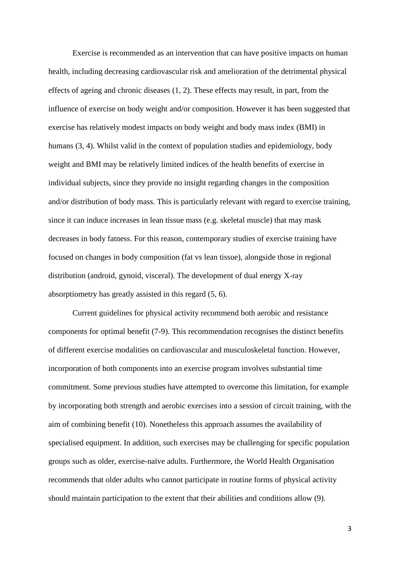Exercise is recommended as an intervention that can have positive impacts on human health, including decreasing cardiovascular risk and amelioration of the detrimental physical effects of ageing and chronic diseases (1, 2). These effects may result, in part, from the influence of exercise on body weight and/or composition. However it has been suggested that exercise has relatively modest impacts on body weight and body mass index (BMI) in humans (3, 4). Whilst valid in the context of population studies and epidemiology, body weight and BMI may be relatively limited indices of the health benefits of exercise in individual subjects, since they provide no insight regarding changes in the composition and/or distribution of body mass. This is particularly relevant with regard to exercise training, since it can induce increases in lean tissue mass (e.g. skeletal muscle) that may mask decreases in body fatness. For this reason, contemporary studies of exercise training have focused on changes in body composition (fat vs lean tissue), alongside those in regional distribution (android, gynoid, visceral). The development of dual energy X-ray absorptiometry has greatly assisted in this regard (5, 6).

Current guidelines for physical activity recommend both aerobic and resistance components for optimal benefit (7-9). This recommendation recognises the distinct benefits of different exercise modalities on cardiovascular and musculoskeletal function. However, incorporation of both components into an exercise program involves substantial time commitment. Some previous studies have attempted to overcome this limitation, for example by incorporating both strength and aerobic exercises into a session of circuit training, with the aim of combining benefit (10). Nonetheless this approach assumes the availability of specialised equipment. In addition, such exercises may be challenging for specific population groups such as older, exercise-naïve adults. Furthermore, the World Health Organisation recommends that older adults who cannot participate in routine forms of physical activity should maintain participation to the extent that their abilities and conditions allow (9).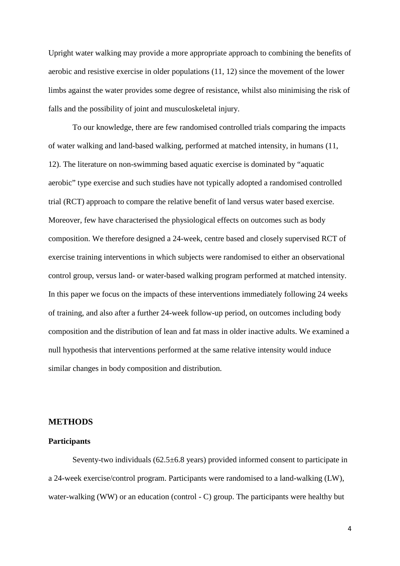Upright water walking may provide a more appropriate approach to combining the benefits of aerobic and resistive exercise in older populations (11, 12) since the movement of the lower limbs against the water provides some degree of resistance, whilst also minimising the risk of falls and the possibility of joint and musculoskeletal injury.

To our knowledge, there are few randomised controlled trials comparing the impacts of water walking and land-based walking, performed at matched intensity, in humans (11, 12). The literature on non-swimming based aquatic exercise is dominated by "aquatic aerobic" type exercise and such studies have not typically adopted a randomised controlled trial (RCT) approach to compare the relative benefit of land versus water based exercise. Moreover, few have characterised the physiological effects on outcomes such as body composition. We therefore designed a 24-week, centre based and closely supervised RCT of exercise training interventions in which subjects were randomised to either an observational control group, versus land- or water-based walking program performed at matched intensity. In this paper we focus on the impacts of these interventions immediately following 24 weeks of training, and also after a further 24-week follow-up period, on outcomes including body composition and the distribution of lean and fat mass in older inactive adults. We examined a null hypothesis that interventions performed at the same relative intensity would induce similar changes in body composition and distribution.

## **METHODS**

# **Participants**

Seventy-two individuals (62.5±6.8 years) provided informed consent to participate in a 24-week exercise/control program. Participants were randomised to a land-walking (LW), water-walking (WW) or an education (control - C) group. The participants were healthy but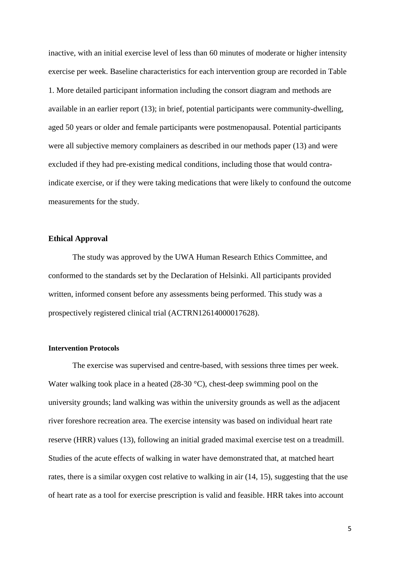inactive, with an initial exercise level of less than 60 minutes of moderate or higher intensity exercise per week. Baseline characteristics for each intervention group are recorded in Table 1. More detailed participant information including the consort diagram and methods are available in an earlier report (13); in brief, potential participants were community-dwelling, aged 50 years or older and female participants were postmenopausal. Potential participants were all subjective memory complainers as described in our methods paper (13) and were excluded if they had pre-existing medical conditions, including those that would contraindicate exercise, or if they were taking medications that were likely to confound the outcome measurements for the study.

# **Ethical Approval**

The study was approved by the UWA Human Research Ethics Committee, and conformed to the standards set by the Declaration of Helsinki. All participants provided written, informed consent before any assessments being performed. This study was a prospectively registered clinical trial (ACTRN12614000017628).

## **Intervention Protocols**

The exercise was supervised and centre-based, with sessions three times per week. Water walking took place in a heated (28-30 °C), chest-deep swimming pool on the university grounds; land walking was within the university grounds as well as the adjacent river foreshore recreation area. The exercise intensity was based on individual heart rate reserve (HRR) values (13), following an initial graded maximal exercise test on a treadmill. Studies of the acute effects of walking in water have demonstrated that, at matched heart rates, there is a similar oxygen cost relative to walking in air (14, 15), suggesting that the use of heart rate as a tool for exercise prescription is valid and feasible. HRR takes into account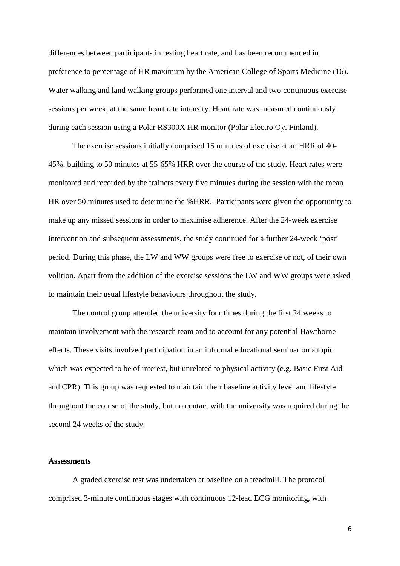differences between participants in resting heart rate, and has been recommended in preference to percentage of HR maximum by the American College of Sports Medicine (16). Water walking and land walking groups performed one interval and two continuous exercise sessions per week, at the same heart rate intensity. Heart rate was measured continuously during each session using a Polar RS300X HR monitor (Polar Electro Oy, Finland).

The exercise sessions initially comprised 15 minutes of exercise at an HRR of 40- 45%, building to 50 minutes at 55-65% HRR over the course of the study. Heart rates were monitored and recorded by the trainers every five minutes during the session with the mean HR over 50 minutes used to determine the %HRR. Participants were given the opportunity to make up any missed sessions in order to maximise adherence. After the 24-week exercise intervention and subsequent assessments, the study continued for a further 24-week 'post' period. During this phase, the LW and WW groups were free to exercise or not, of their own volition. Apart from the addition of the exercise sessions the LW and WW groups were asked to maintain their usual lifestyle behaviours throughout the study.

The control group attended the university four times during the first 24 weeks to maintain involvement with the research team and to account for any potential Hawthorne effects. These visits involved participation in an informal educational seminar on a topic which was expected to be of interest, but unrelated to physical activity (e.g. Basic First Aid and CPR). This group was requested to maintain their baseline activity level and lifestyle throughout the course of the study, but no contact with the university was required during the second 24 weeks of the study.

## **Assessments**

A graded exercise test was undertaken at baseline on a treadmill. The protocol comprised 3-minute continuous stages with continuous 12-lead ECG monitoring, with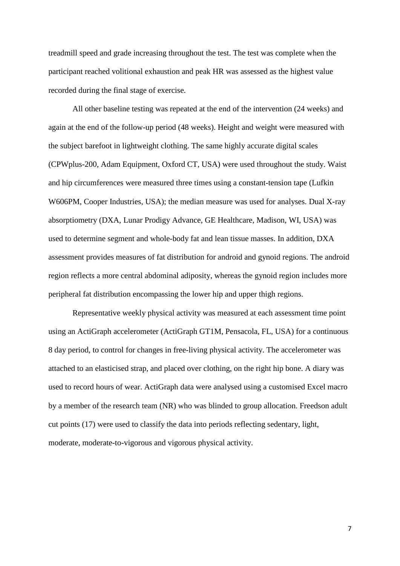treadmill speed and grade increasing throughout the test. The test was complete when the participant reached volitional exhaustion and peak HR was assessed as the highest value recorded during the final stage of exercise.

All other baseline testing was repeated at the end of the intervention (24 weeks) and again at the end of the follow-up period (48 weeks). Height and weight were measured with the subject barefoot in lightweight clothing. The same highly accurate digital scales (CPWplus-200, Adam Equipment, Oxford CT, USA) were used throughout the study. Waist and hip circumferences were measured three times using a constant-tension tape (Lufkin W606PM, Cooper Industries, USA); the median measure was used for analyses. Dual X-ray absorptiometry (DXA, Lunar Prodigy Advance, GE Healthcare, Madison, WI, USA) was used to determine segment and whole-body fat and lean tissue masses. In addition, DXA assessment provides measures of fat distribution for android and gynoid regions. The android region reflects a more central abdominal adiposity, whereas the gynoid region includes more peripheral fat distribution encompassing the lower hip and upper thigh regions.

Representative weekly physical activity was measured at each assessment time point using an ActiGraph accelerometer (ActiGraph GT1M, Pensacola, FL, USA) for a continuous 8 day period, to control for changes in free-living physical activity. The accelerometer was attached to an elasticised strap, and placed over clothing, on the right hip bone. A diary was used to record hours of wear. ActiGraph data were analysed using a customised Excel macro by a member of the research team (NR) who was blinded to group allocation. Freedson adult cut points (17) were used to classify the data into periods reflecting sedentary, light, moderate, moderate-to-vigorous and vigorous physical activity.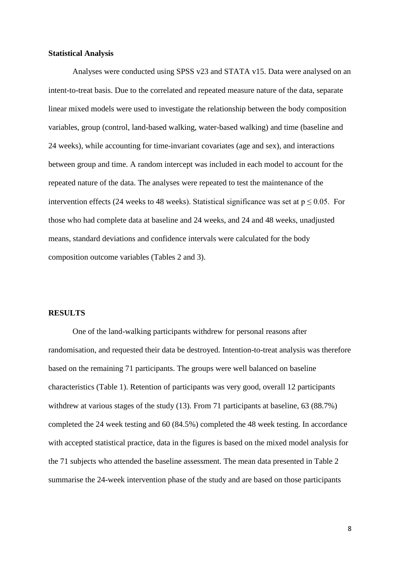## **Statistical Analysis**

Analyses were conducted using SPSS v23 and STATA v15. Data were analysed on an intent-to-treat basis. Due to the correlated and repeated measure nature of the data, separate linear mixed models were used to investigate the relationship between the body composition variables, group (control, land-based walking, water-based walking) and time (baseline and 24 weeks), while accounting for time-invariant covariates (age and sex), and interactions between group and time. A random intercept was included in each model to account for the repeated nature of the data. The analyses were repeated to test the maintenance of the intervention effects (24 weeks to 48 weeks). Statistical significance was set at  $p \le 0.05$ . For those who had complete data at baseline and 24 weeks, and 24 and 48 weeks, unadjusted means, standard deviations and confidence intervals were calculated for the body composition outcome variables (Tables 2 and 3).

## **RESULTS**

One of the land-walking participants withdrew for personal reasons after randomisation, and requested their data be destroyed. Intention-to-treat analysis was therefore based on the remaining 71 participants. The groups were well balanced on baseline characteristics (Table 1). Retention of participants was very good, overall 12 participants withdrew at various stages of the study (13). From 71 participants at baseline, 63 (88.7%) completed the 24 week testing and 60 (84.5%) completed the 48 week testing. In accordance with accepted statistical practice, data in the figures is based on the mixed model analysis for the 71 subjects who attended the baseline assessment. The mean data presented in Table 2 summarise the 24-week intervention phase of the study and are based on those participants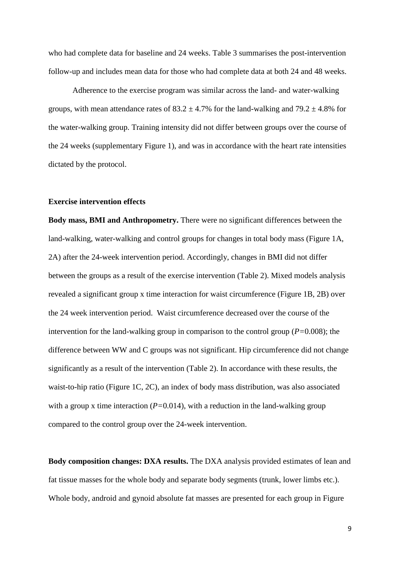who had complete data for baseline and 24 weeks. Table 3 summarises the post-intervention follow-up and includes mean data for those who had complete data at both 24 and 48 weeks.

Adherence to the exercise program was similar across the land- and water-walking groups, with mean attendance rates of  $83.2 \pm 4.7\%$  for the land-walking and  $79.2 \pm 4.8\%$  for the water-walking group. Training intensity did not differ between groups over the course of the 24 weeks (supplementary Figure 1), and was in accordance with the heart rate intensities dictated by the protocol.

## **Exercise intervention effects**

**Body mass, BMI and Anthropometry.** There were no significant differences between the land-walking, water-walking and control groups for changes in total body mass (Figure 1A, 2A) after the 24-week intervention period. Accordingly, changes in BMI did not differ between the groups as a result of the exercise intervention (Table 2). Mixed models analysis revealed a significant group x time interaction for waist circumference (Figure 1B, 2B) over the 24 week intervention period. Waist circumference decreased over the course of the intervention for the land-walking group in comparison to the control group (*P=*0.008); the difference between WW and C groups was not significant. Hip circumference did not change significantly as a result of the intervention (Table 2). In accordance with these results, the waist-to-hip ratio (Figure 1C, 2C), an index of body mass distribution, was also associated with a group x time interaction (*P*=0.014), with a reduction in the land-walking group compared to the control group over the 24-week intervention.

**Body composition changes: DXA results.** The DXA analysis provided estimates of lean and fat tissue masses for the whole body and separate body segments (trunk, lower limbs etc.). Whole body, android and gynoid absolute fat masses are presented for each group in Figure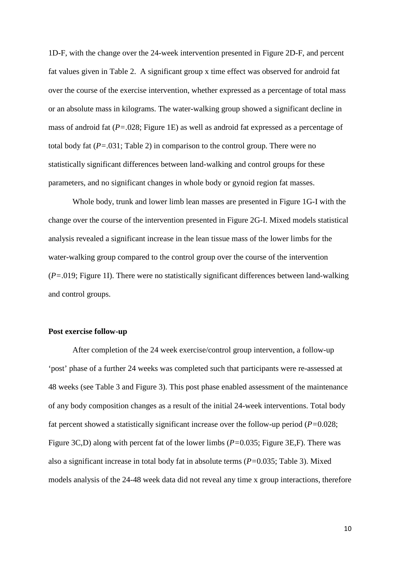1D-F, with the change over the 24-week intervention presented in Figure 2D-F, and percent fat values given in Table 2. A significant group x time effect was observed for android fat over the course of the exercise intervention, whether expressed as a percentage of total mass or an absolute mass in kilograms. The water-walking group showed a significant decline in mass of android fat (*P=*.028; Figure 1E) as well as android fat expressed as a percentage of total body fat (*P=*.031; Table 2) in comparison to the control group. There were no statistically significant differences between land-walking and control groups for these parameters, and no significant changes in whole body or gynoid region fat masses.

Whole body, trunk and lower limb lean masses are presented in Figure 1G-I with the change over the course of the intervention presented in Figure 2G-I. Mixed models statistical analysis revealed a significant increase in the lean tissue mass of the lower limbs for the water-walking group compared to the control group over the course of the intervention (*P=*.019; Figure 1I). There were no statistically significant differences between land-walking and control groups.

## **Post exercise follow-up**

After completion of the 24 week exercise/control group intervention, a follow-up 'post' phase of a further 24 weeks was completed such that participants were re-assessed at 48 weeks (see Table 3 and Figure 3). This post phase enabled assessment of the maintenance of any body composition changes as a result of the initial 24-week interventions. Total body fat percent showed a statistically significant increase over the follow-up period (*P=*0.028; Figure 3C,D) along with percent fat of the lower limbs (*P=*0.035; Figure 3E,F). There was also a significant increase in total body fat in absolute terms (*P=*0.035; Table 3). Mixed models analysis of the 24-48 week data did not reveal any time x group interactions, therefore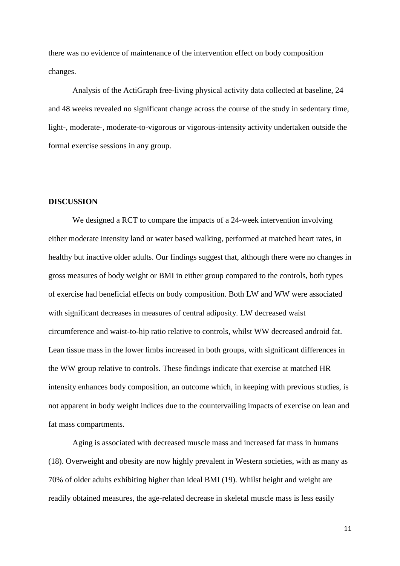there was no evidence of maintenance of the intervention effect on body composition changes.

Analysis of the ActiGraph free-living physical activity data collected at baseline, 24 and 48 weeks revealed no significant change across the course of the study in sedentary time, light-, moderate-, moderate-to-vigorous or vigorous-intensity activity undertaken outside the formal exercise sessions in any group.

## **DISCUSSION**

We designed a RCT to compare the impacts of a 24-week intervention involving either moderate intensity land or water based walking, performed at matched heart rates, in healthy but inactive older adults. Our findings suggest that, although there were no changes in gross measures of body weight or BMI in either group compared to the controls, both types of exercise had beneficial effects on body composition. Both LW and WW were associated with significant decreases in measures of central adiposity. LW decreased waist circumference and waist-to-hip ratio relative to controls, whilst WW decreased android fat. Lean tissue mass in the lower limbs increased in both groups, with significant differences in the WW group relative to controls. These findings indicate that exercise at matched HR intensity enhances body composition, an outcome which, in keeping with previous studies, is not apparent in body weight indices due to the countervailing impacts of exercise on lean and fat mass compartments.

Aging is associated with decreased muscle mass and increased fat mass in humans (18). Overweight and obesity are now highly prevalent in Western societies, with as many as 70% of older adults exhibiting higher than ideal BMI (19). Whilst height and weight are readily obtained measures, the age-related decrease in skeletal muscle mass is less easily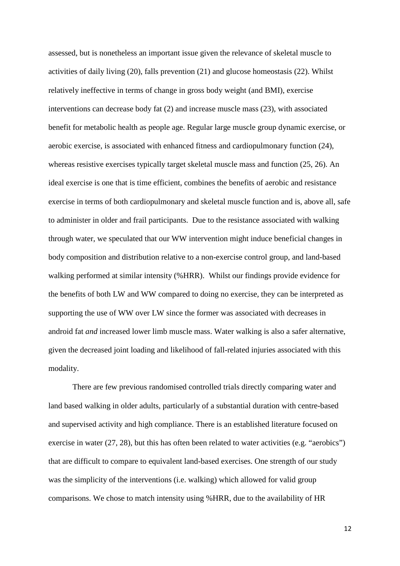assessed, but is nonetheless an important issue given the relevance of skeletal muscle to activities of daily living (20), falls prevention (21) and glucose homeostasis (22). Whilst relatively ineffective in terms of change in gross body weight (and BMI), exercise interventions can decrease body fat (2) and increase muscle mass (23), with associated benefit for metabolic health as people age. Regular large muscle group dynamic exercise, or aerobic exercise, is associated with enhanced fitness and cardiopulmonary function (24), whereas resistive exercises typically target skeletal muscle mass and function (25, 26). An ideal exercise is one that is time efficient, combines the benefits of aerobic and resistance exercise in terms of both cardiopulmonary and skeletal muscle function and is, above all, safe to administer in older and frail participants. Due to the resistance associated with walking through water, we speculated that our WW intervention might induce beneficial changes in body composition and distribution relative to a non-exercise control group, and land-based walking performed at similar intensity (%HRR). Whilst our findings provide evidence for the benefits of both LW and WW compared to doing no exercise, they can be interpreted as supporting the use of WW over LW since the former was associated with decreases in android fat *and* increased lower limb muscle mass. Water walking is also a safer alternative, given the decreased joint loading and likelihood of fall-related injuries associated with this modality.

There are few previous randomised controlled trials directly comparing water and land based walking in older adults, particularly of a substantial duration with centre-based and supervised activity and high compliance. There is an established literature focused on exercise in water (27, 28), but this has often been related to water activities (e.g. "aerobics") that are difficult to compare to equivalent land-based exercises. One strength of our study was the simplicity of the interventions (i.e. walking) which allowed for valid group comparisons. We chose to match intensity using %HRR, due to the availability of HR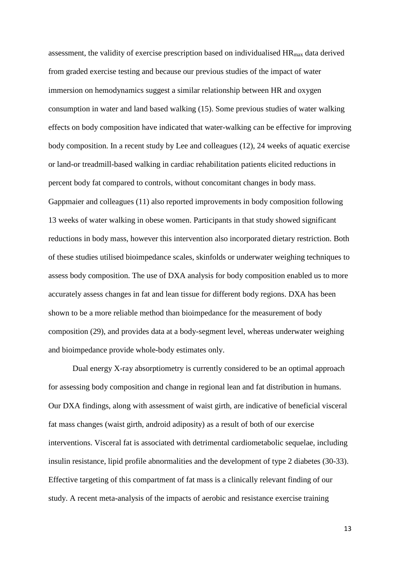assessment, the validity of exercise prescription based on individualised  $HR<sub>max</sub>$  data derived from graded exercise testing and because our previous studies of the impact of water immersion on hemodynamics suggest a similar relationship between HR and oxygen consumption in water and land based walking (15). Some previous studies of water walking effects on body composition have indicated that water-walking can be effective for improving body composition. In a recent study by Lee and colleagues (12), 24 weeks of aquatic exercise or land-or treadmill-based walking in cardiac rehabilitation patients elicited reductions in percent body fat compared to controls, without concomitant changes in body mass. Gappmaier and colleagues (11) also reported improvements in body composition following 13 weeks of water walking in obese women. Participants in that study showed significant reductions in body mass, however this intervention also incorporated dietary restriction. Both of these studies utilised bioimpedance scales, skinfolds or underwater weighing techniques to assess body composition. The use of DXA analysis for body composition enabled us to more accurately assess changes in fat and lean tissue for different body regions. DXA has been shown to be a more reliable method than bioimpedance for the measurement of body composition (29), and provides data at a body-segment level, whereas underwater weighing and bioimpedance provide whole-body estimates only.

Dual energy X-ray absorptiometry is currently considered to be an optimal approach for assessing body composition and change in regional lean and fat distribution in humans. Our DXA findings, along with assessment of waist girth, are indicative of beneficial visceral fat mass changes (waist girth, android adiposity) as a result of both of our exercise interventions. Visceral fat is associated with detrimental cardiometabolic sequelae, including insulin resistance, lipid profile abnormalities and the development of type 2 diabetes (30-33). Effective targeting of this compartment of fat mass is a clinically relevant finding of our study. A recent meta-analysis of the impacts of aerobic and resistance exercise training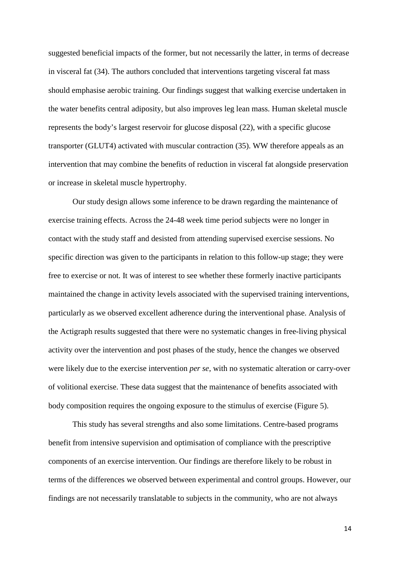suggested beneficial impacts of the former, but not necessarily the latter, in terms of decrease in visceral fat (34). The authors concluded that interventions targeting visceral fat mass should emphasise aerobic training. Our findings suggest that walking exercise undertaken in the water benefits central adiposity, but also improves leg lean mass. Human skeletal muscle represents the body's largest reservoir for glucose disposal (22), with a specific glucose transporter (GLUT4) activated with muscular contraction (35). WW therefore appeals as an intervention that may combine the benefits of reduction in visceral fat alongside preservation or increase in skeletal muscle hypertrophy.

Our study design allows some inference to be drawn regarding the maintenance of exercise training effects. Across the 24-48 week time period subjects were no longer in contact with the study staff and desisted from attending supervised exercise sessions. No specific direction was given to the participants in relation to this follow-up stage; they were free to exercise or not. It was of interest to see whether these formerly inactive participants maintained the change in activity levels associated with the supervised training interventions, particularly as we observed excellent adherence during the interventional phase. Analysis of the Actigraph results suggested that there were no systematic changes in free-living physical activity over the intervention and post phases of the study, hence the changes we observed were likely due to the exercise intervention *per se*, with no systematic alteration or carry-over of volitional exercise. These data suggest that the maintenance of benefits associated with body composition requires the ongoing exposure to the stimulus of exercise (Figure 5).

This study has several strengths and also some limitations. Centre-based programs benefit from intensive supervision and optimisation of compliance with the prescriptive components of an exercise intervention. Our findings are therefore likely to be robust in terms of the differences we observed between experimental and control groups. However, our findings are not necessarily translatable to subjects in the community, who are not always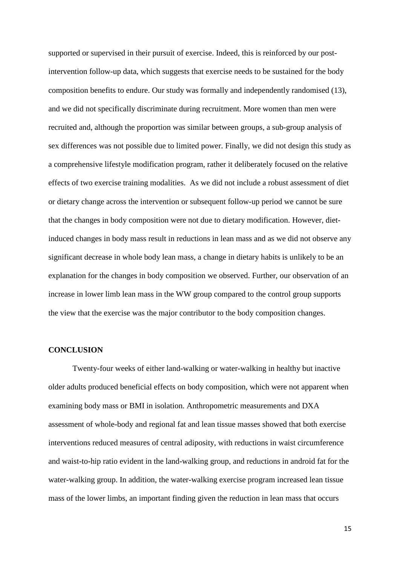supported or supervised in their pursuit of exercise. Indeed, this is reinforced by our postintervention follow-up data, which suggests that exercise needs to be sustained for the body composition benefits to endure. Our study was formally and independently randomised (13), and we did not specifically discriminate during recruitment. More women than men were recruited and, although the proportion was similar between groups, a sub-group analysis of sex differences was not possible due to limited power. Finally, we did not design this study as a comprehensive lifestyle modification program, rather it deliberately focused on the relative effects of two exercise training modalities. As we did not include a robust assessment of diet or dietary change across the intervention or subsequent follow-up period we cannot be sure that the changes in body composition were not due to dietary modification. However, dietinduced changes in body mass result in reductions in lean mass and as we did not observe any significant decrease in whole body lean mass, a change in dietary habits is unlikely to be an explanation for the changes in body composition we observed. Further, our observation of an increase in lower limb lean mass in the WW group compared to the control group supports the view that the exercise was the major contributor to the body composition changes.

# **CONCLUSION**

Twenty-four weeks of either land-walking or water-walking in healthy but inactive older adults produced beneficial effects on body composition, which were not apparent when examining body mass or BMI in isolation. Anthropometric measurements and DXA assessment of whole-body and regional fat and lean tissue masses showed that both exercise interventions reduced measures of central adiposity, with reductions in waist circumference and waist-to-hip ratio evident in the land-walking group, and reductions in android fat for the water-walking group. In addition, the water-walking exercise program increased lean tissue mass of the lower limbs, an important finding given the reduction in lean mass that occurs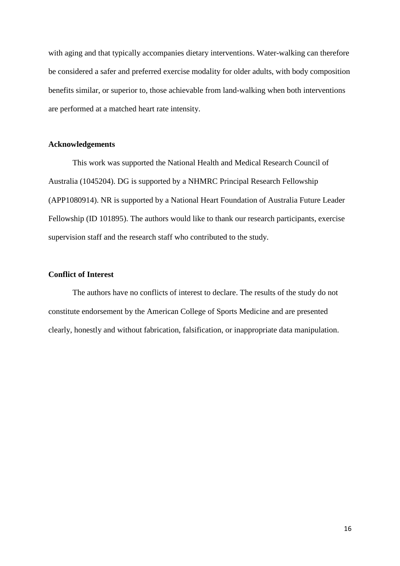with aging and that typically accompanies dietary interventions. Water-walking can therefore be considered a safer and preferred exercise modality for older adults, with body composition benefits similar, or superior to, those achievable from land-walking when both interventions are performed at a matched heart rate intensity.

# **Acknowledgements**

This work was supported the National Health and Medical Research Council of Australia (1045204). DG is supported by a NHMRC Principal Research Fellowship (APP1080914). NR is supported by a National Heart Foundation of Australia Future Leader Fellowship (ID 101895). The authors would like to thank our research participants, exercise supervision staff and the research staff who contributed to the study.

# **Conflict of Interest**

The authors have no conflicts of interest to declare. The results of the study do not constitute endorsement by the American College of Sports Medicine and are presented clearly, honestly and without fabrication, falsification, or inappropriate data manipulation.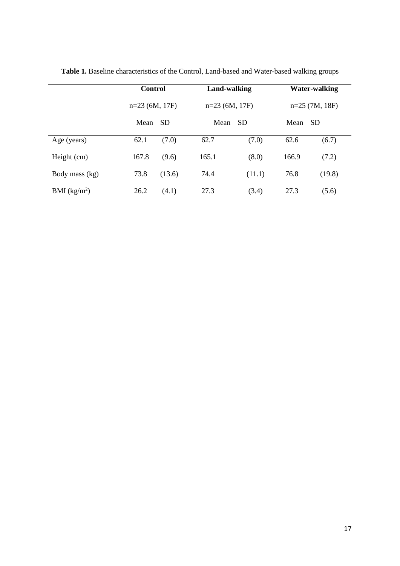|                          | <b>Control</b><br>$n=23$ (6M, 17F) |        | Land-walking      |        | <b>Water-walking</b><br>$n=25$ (7M, 18F) |        |  |
|--------------------------|------------------------------------|--------|-------------------|--------|------------------------------------------|--------|--|
|                          |                                    |        | $n=23$ (6M, 17F)  |        |                                          |        |  |
|                          | Mean                               | -SD    | Mean<br><b>SD</b> |        | Mean<br><sub>SD</sub>                    |        |  |
| Age (years)              | 62.1                               | (7.0)  | 62.7              | (7.0)  | 62.6                                     | (6.7)  |  |
| Height (cm)              | 167.8                              | (9.6)  | 165.1             | (8.0)  | 166.9                                    | (7.2)  |  |
| Body mass (kg)           | 73.8                               | (13.6) | 74.4              | (11.1) | 76.8                                     | (19.8) |  |
| BMI (kg/m <sup>2</sup> ) | 26.2                               | (4.1)  | 27.3              | (3.4)  | 27.3                                     | (5.6)  |  |

**Table 1.** Baseline characteristics of the Control, Land-based and Water-based walking groups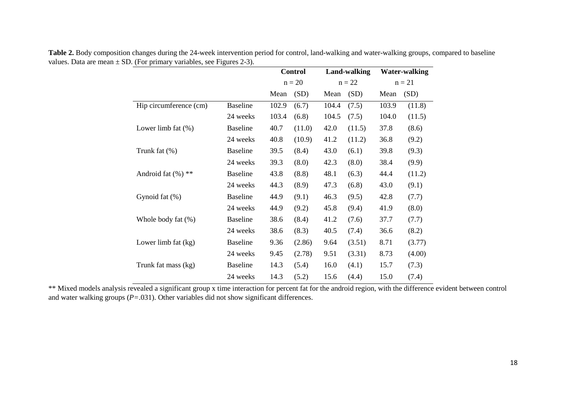|                        |                 | <b>Control</b> |          |       | Land-walking<br>$n = 22$ |       | Water-walking<br>$n = 21$ |  |
|------------------------|-----------------|----------------|----------|-------|--------------------------|-------|---------------------------|--|
|                        |                 |                | $n = 20$ |       |                          |       |                           |  |
|                        |                 | Mean           | (SD)     | Mean  | (SD)                     | Mean  | (SD)                      |  |
| Hip circumference (cm) | <b>Baseline</b> | 102.9          | (6.7)    | 104.4 | (7.5)                    | 103.9 | (11.8)                    |  |
|                        | 24 weeks        | 103.4          | (6.8)    | 104.5 | (7.5)                    | 104.0 | (11.5)                    |  |
| Lower limb fat $(\%)$  | <b>Baseline</b> | 40.7           | (11.0)   | 42.0  | (11.5)                   | 37.8  | (8.6)                     |  |
|                        | 24 weeks        | 40.8           | (10.9)   | 41.2  | (11.2)                   | 36.8  | (9.2)                     |  |
| Trunk fat $(\%)$       | <b>Baseline</b> | 39.5           | (8.4)    | 43.0  | (6.1)                    | 39.8  | (9.3)                     |  |
|                        | 24 weeks        | 39.3           | (8.0)    | 42.3  | (8.0)                    | 38.4  | (9.9)                     |  |
| Android fat $(\%)$ **  | <b>Baseline</b> | 43.8           | (8.8)    | 48.1  | (6.3)                    | 44.4  | (11.2)                    |  |
|                        | 24 weeks        | 44.3           | (8.9)    | 47.3  | (6.8)                    | 43.0  | (9.1)                     |  |
| Gynoid fat (%)         | <b>Baseline</b> | 44.9           | (9.1)    | 46.3  | (9.5)                    | 42.8  | (7.7)                     |  |
|                        | 24 weeks        | 44.9           | (9.2)    | 45.8  | (9.4)                    | 41.9  | (8.0)                     |  |
| Whole body fat (%)     | <b>Baseline</b> | 38.6           | (8.4)    | 41.2  | (7.6)                    | 37.7  | (7.7)                     |  |
|                        | 24 weeks        | 38.6           | (8.3)    | 40.5  | (7.4)                    | 36.6  | (8.2)                     |  |
| Lower limb fat (kg)    | <b>Baseline</b> | 9.36           | (2.86)   | 9.64  | (3.51)                   | 8.71  | (3.77)                    |  |
|                        | 24 weeks        | 9.45           | (2.78)   | 9.51  | (3.31)                   | 8.73  | (4.00)                    |  |
| Trunk fat mass (kg)    | <b>Baseline</b> | 14.3           | (5.4)    | 16.0  | (4.1)                    | 15.7  | (7.3)                     |  |
|                        | 24 weeks        | 14.3           | (5.2)    | 15.6  | (4.4)                    | 15.0  | (7.4)                     |  |

**Table 2.** Body composition changes during the 24-week intervention period for control, land-walking and water-walking groups, compared to baseline values. Data are mean  $\pm$  SD. (For primary variables, see Figures 2-3).

\*\* Mixed models analysis revealed a significant group x time interaction for percent fat for the android region, with the difference evident between control and water walking groups (*P=*.031). Other variables did not show significant differences.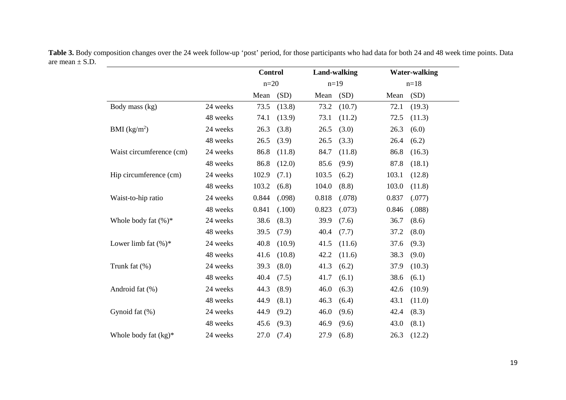|                          |          | <b>Control</b> |        |        | <b>Land-walking</b> |       | <b>Water-walking</b> |  |  |
|--------------------------|----------|----------------|--------|--------|---------------------|-------|----------------------|--|--|
|                          |          | $n=20$         |        | $n=19$ |                     |       | $n=18$               |  |  |
|                          |          | Mean           | (SD)   | Mean   | (SD)                | Mean  | (SD)                 |  |  |
| Body mass (kg)           | 24 weeks | 73.5           | (13.8) | 73.2   | (10.7)              | 72.1  | (19.3)               |  |  |
|                          | 48 weeks | 74.1           | (13.9) | 73.1   | (11.2)              | 72.5  | (11.3)               |  |  |
| BMI (kg/m <sup>2</sup> ) | 24 weeks | 26.3           | (3.8)  | 26.5   | (3.0)               | 26.3  | (6.0)                |  |  |
|                          | 48 weeks | 26.5           | (3.9)  | 26.5   | (3.3)               | 26.4  | (6.2)                |  |  |
| Waist circumference (cm) | 24 weeks | 86.8           | (11.8) | 84.7   | (11.8)              | 86.8  | (16.3)               |  |  |
|                          | 48 weeks | 86.8           | (12.0) | 85.6   | (9.9)               | 87.8  | (18.1)               |  |  |
| Hip circumference (cm)   | 24 weeks | 102.9          | (7.1)  | 103.5  | (6.2)               | 103.1 | (12.8)               |  |  |
|                          | 48 weeks | 103.2          | (6.8)  | 104.0  | (8.8)               | 103.0 | (11.8)               |  |  |
| Waist-to-hip ratio       | 24 weeks | 0.844          | (.098) | 0.818  | (.078)              | 0.837 | (.077)               |  |  |
|                          | 48 weeks | 0.841          | (.100) | 0.823  | (.073)              | 0.846 | (.088)               |  |  |
| Whole body fat $(\%)^*$  | 24 weeks | 38.6           | (8.3)  | 39.9   | (7.6)               | 36.7  | (8.6)                |  |  |
|                          | 48 weeks | 39.5           | (7.9)  | 40.4   | (7.7)               | 37.2  | (8.0)                |  |  |
| Lower limb fat $(\%)^*$  | 24 weeks | 40.8           | (10.9) | 41.5   | (11.6)              | 37.6  | (9.3)                |  |  |
|                          | 48 weeks | 41.6           | (10.8) | 42.2   | (11.6)              | 38.3  | (9.0)                |  |  |
| Trunk fat (%)            | 24 weeks | 39.3           | (8.0)  | 41.3   | (6.2)               | 37.9  | (10.3)               |  |  |
|                          | 48 weeks | 40.4           | (7.5)  | 41.7   | (6.1)               | 38.6  | (6.1)                |  |  |
| Android fat (%)          | 24 weeks | 44.3           | (8.9)  | 46.0   | (6.3)               | 42.6  | (10.9)               |  |  |
|                          | 48 weeks | 44.9           | (8.1)  | 46.3   | (6.4)               | 43.1  | (11.0)               |  |  |
| Gynoid fat (%)           | 24 weeks | 44.9           | (9.2)  | 46.0   | (9.6)               | 42.4  | (8.3)                |  |  |
|                          | 48 weeks | 45.6           | (9.3)  | 46.9   | (9.6)               | 43.0  | (8.1)                |  |  |
| Whole body fat $(kg)^*$  | 24 weeks | 27.0           | (7.4)  | 27.9   | (6.8)               | 26.3  | (12.2)               |  |  |

**Table 3.** Body composition changes over the 24 week follow-up 'post' period, for those participants who had data for both 24 and 48 week time points. Data are mean  $\pm$  S.D.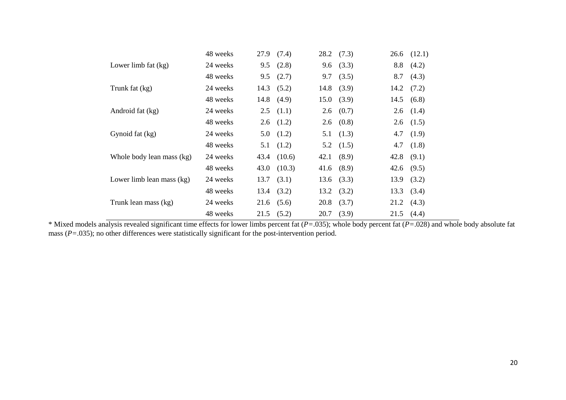|                           | 48 weeks | 27.9 | (7.4)  | 28.2 | (7.3) | 26.6 | (12.1) |
|---------------------------|----------|------|--------|------|-------|------|--------|
| Lower limb fat $(kg)$     | 24 weeks | 9.5  | (2.8)  | 9.6  | (3.3) | 8.8  | (4.2)  |
|                           | 48 weeks | 9.5  | (2.7)  | 9.7  | (3.5) | 8.7  | (4.3)  |
| Trunk fat (kg)            | 24 weeks | 14.3 | (5.2)  | 14.8 | (3.9) | 14.2 | (7.2)  |
|                           | 48 weeks | 14.8 | (4.9)  | 15.0 | (3.9) | 14.5 | (6.8)  |
| Android fat (kg)          | 24 weeks | 2.5  | (1.1)  | 2.6  | (0.7) | 2.6  | (1.4)  |
|                           | 48 weeks | 2.6  | (1.2)  | 2.6  | (0.8) | 2.6  | (1.5)  |
| Gynoid fat (kg)           | 24 weeks | 5.0  | (1.2)  | 5.1  | (1.3) | 4.7  | (1.9)  |
|                           | 48 weeks | 5.1  | (1.2)  | 5.2  | (1.5) | 4.7  | (1.8)  |
| Whole body lean mass (kg) | 24 weeks | 43.4 | (10.6) | 42.1 | (8.9) | 42.8 | (9.1)  |
|                           | 48 weeks | 43.0 | (10.3) | 41.6 | (8.9) | 42.6 | (9.5)  |
| Lower limb lean mass (kg) | 24 weeks | 13.7 | (3.1)  | 13.6 | (3.3) | 13.9 | (3.2)  |
|                           | 48 weeks | 13.4 | (3.2)  | 13.2 | (3.2) | 13.3 | (3.4)  |
| Trunk lean mass (kg)      | 24 weeks | 21.6 | (5.6)  | 20.8 | (3.7) | 21.2 | (4.3)  |
|                           | 48 weeks | 21.5 | (5.2)  | 20.7 | (3.9) | 21.5 | (4.4)  |

\* Mixed models analysis revealed significant time effects for lower limbs percent fat (*P=*.035); whole body percent fat (*P=*.028) and whole body absolute fat mass (*P*=.035); no other differences were statistically significant for the post-intervention period.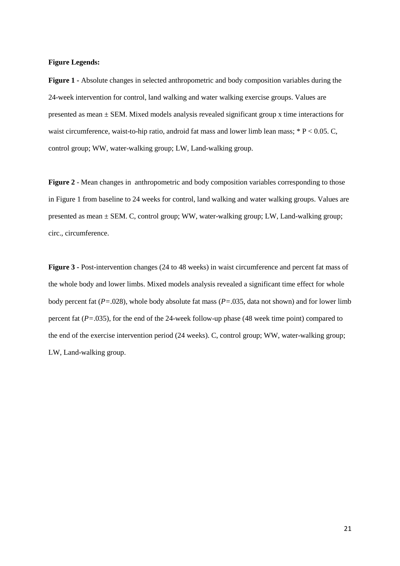#### **Figure Legends:**

**Figure 1 -** Absolute changes in selected anthropometric and body composition variables during the 24-week intervention for control, land walking and water walking exercise groups. Values are presented as mean ± SEM. Mixed models analysis revealed significant group x time interactions for waist circumference, waist-to-hip ratio, android fat mass and lower limb lean mass; \* P < 0.05. C, control group; WW, water-walking group; LW, Land-walking group.

**Figure 2** - Mean changes in anthropometric and body composition variables corresponding to those in Figure 1 from baseline to 24 weeks for control, land walking and water walking groups. Values are presented as mean ± SEM. C, control group; WW, water-walking group; LW, Land-walking group; circ., circumference.

**Figure 3 -** Post-intervention changes (24 to 48 weeks) in waist circumference and percent fat mass of the whole body and lower limbs. Mixed models analysis revealed a significant time effect for whole body percent fat (*P=*.028), whole body absolute fat mass (*P=*.035, data not shown) and for lower limb percent fat (*P=*.035), for the end of the 24-week follow-up phase (48 week time point) compared to the end of the exercise intervention period (24 weeks). C, control group; WW, water-walking group; LW, Land-walking group.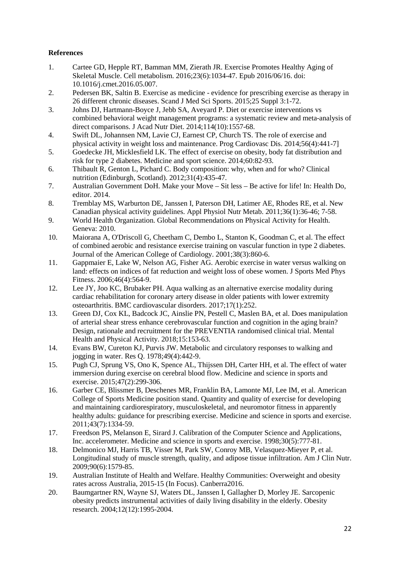# **References**

- 1. Cartee GD, Hepple RT, Bamman MM, Zierath JR. Exercise Promotes Healthy Aging of Skeletal Muscle. Cell metabolism. 2016;23(6):1034-47. Epub 2016/06/16. doi: 10.1016/j.cmet.2016.05.007.
- 2. Pedersen BK, Saltin B. Exercise as medicine evidence for prescribing exercise as therapy in 26 different chronic diseases. Scand J Med Sci Sports. 2015;25 Suppl 3:1-72.
- 3. Johns DJ, Hartmann-Boyce J, Jebb SA, Aveyard P. Diet or exercise interventions vs combined behavioral weight management programs: a systematic review and meta-analysis of direct comparisons. J Acad Nutr Diet. 2014;114(10):1557-68.
- 4. Swift DL, Johannsen NM, Lavie CJ, Earnest CP, Church TS. The role of exercise and physical activity in weight loss and maintenance. Prog Cardiovasc Dis. 2014;56(4):441-7]
- 5. Goedecke JH, Micklesfield LK. The effect of exercise on obesity, body fat distribution and risk for type 2 diabetes. Medicine and sport science. 2014;60:82-93.
- 6. Thibault R, Genton L, Pichard C. Body composition: why, when and for who? Clinical nutrition (Edinburgh, Scotland). 2012;31(4):435-47.
- 7. Australian Government DoH. Make your Move Sit less Be active for life! In: Health Do, editor. 2014.
- 8. Tremblay MS, Warburton DE, Janssen I, Paterson DH, Latimer AE, Rhodes RE, et al. New Canadian physical activity guidelines. Appl Physiol Nutr Metab. 2011;36(1):36-46; 7-58.
- 9. World Health Organization. Global Recommendations on Physical Activity for Health. Geneva: 2010.
- 10. Maiorana A, O'Driscoll G, Cheetham C, Dembo L, Stanton K, Goodman C, et al. The effect of combined aerobic and resistance exercise training on vascular function in type 2 diabetes. Journal of the American College of Cardiology. 2001;38(3):860-6.
- 11. Gappmaier E, Lake W, Nelson AG, Fisher AG. Aerobic exercise in water versus walking on land: effects on indices of fat reduction and weight loss of obese women. J Sports Med Phys Fitness. 2006;46(4):564-9.
- 12. Lee JY, Joo KC, Brubaker PH. Aqua walking as an alternative exercise modality during cardiac rehabilitation for coronary artery disease in older patients with lower extremity osteoarthritis. BMC cardiovascular disorders. 2017;17(1):252.
- 13. Green DJ, Cox KL, Badcock JC, Ainslie PN, Pestell C, Maslen BA, et al. Does manipulation of arterial shear stress enhance cerebrovascular function and cognition in the aging brain? Design, rationale and recruitment for the PREVENTIA randomised clinical trial. Mental Health and Physical Activity. 2018;15:153-63.
- 14. Evans BW, Cureton KJ, Purvis JW. Metabolic and circulatory responses to walking and jogging in water. Res Q. 1978;49(4):442-9.
- 15. Pugh CJ, Sprung VS, Ono K, Spence AL, Thijssen DH, Carter HH, et al. The effect of water immersion during exercise on cerebral blood flow. Medicine and science in sports and exercise. 2015;47(2):299-306.
- 16. Garber CE, Blissmer B, Deschenes MR, Franklin BA, Lamonte MJ, Lee IM, et al. American College of Sports Medicine position stand. Quantity and quality of exercise for developing and maintaining cardiorespiratory, musculoskeletal, and neuromotor fitness in apparently healthy adults: guidance for prescribing exercise. Medicine and science in sports and exercise. 2011;43(7):1334-59.
- 17. Freedson PS, Melanson E, Sirard J. Calibration of the Computer Science and Applications, Inc. accelerometer. Medicine and science in sports and exercise. 1998;30(5):777-81.
- 18. Delmonico MJ, Harris TB, Visser M, Park SW, Conroy MB, Velasquez-Mieyer P, et al. Longitudinal study of muscle strength, quality, and adipose tissue infiltration. Am J Clin Nutr. 2009;90(6):1579-85.
- 19. Australian Institute of Health and Welfare. Healthy Communities: Overweight and obesity rates across Australia, 2015-15 (In Focus). Canberra2016.
- 20. Baumgartner RN, Wayne SJ, Waters DL, Janssen I, Gallagher D, Morley JE. Sarcopenic obesity predicts instrumental activities of daily living disability in the elderly. Obesity research. 2004;12(12):1995-2004.